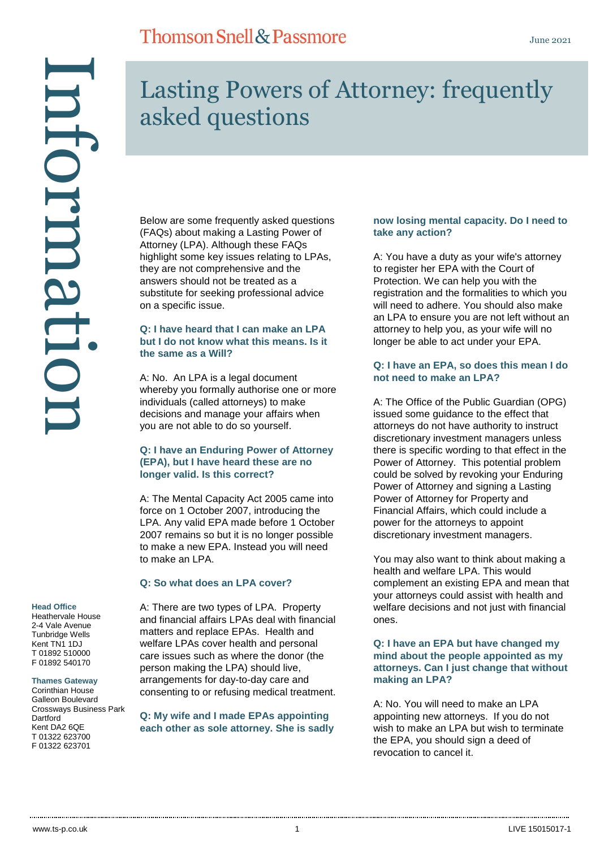# Information ntormati

### **Head Office**

Heathervale House 2-4 Vale Avenue Tunbridge Wells Kent TN1 1DJ T 01892 510000 F 01892 540170

### **Thames Gateway**

Corinthian House Galleon Boulevard Crossways Business Park **Dartford** Kent DA2 6QE T 01322 623700 F 01322 623701

# Lasting Powers of Attorney: frequently asked questions

Below are some frequently asked questions (FAQs) about making a Lasting Power of Attorney (LPA). Although these FAQs highlight some key issues relating to LPAs, they are not comprehensive and the answers should not be treated as a substitute for seeking professional advice on a specific issue.

### **Q: I have heard that I can make an LPA but I do not know what this means. Is it the same as a Will?**

A: No. An LPA is a legal document whereby you formally authorise one or more individuals (called attorneys) to make decisions and manage your affairs when you are not able to do so yourself.

### **Q: I have an Enduring Power of Attorney (EPA), but I have heard these are no longer valid. Is this correct?**

A: The Mental Capacity Act 2005 came into force on 1 October 2007, introducing the LPA. Any valid EPA made before 1 October 2007 remains so but it is no longer possible to make a new EPA. Instead you will need to make an LPA.

### **Q: So what does an LPA cover?**

A: There are two types of LPA. Property and financial affairs LPAs deal with financial matters and replace EPAs. Health and welfare LPAs cover health and personal care issues such as where the donor (the person making the LPA) should live, arrangements for day-to-day care and consenting to or refusing medical treatment.

**Q: My wife and I made EPAs appointing each other as sole attorney. She is sadly** 

### **now losing mental capacity. Do I need to take any action?**

A: You have a duty as your wife's attorney to register her EPA with the Court of Protection. We can help you with the registration and the formalities to which you will need to adhere. You should also make an LPA to ensure you are not left without an attorney to help you, as your wife will no longer be able to act under your EPA.

### **Q: I have an EPA, so does this mean I do not need to make an LPA?**

A: The Office of the Public Guardian (OPG) issued some guidance to the effect that attorneys do not have authority to instruct discretionary investment managers unless there is specific wording to that effect in the Power of Attorney. This potential problem could be solved by revoking your Enduring Power of Attorney and signing a Lasting Power of Attorney for Property and Financial Affairs, which could include a power for the attorneys to appoint discretionary investment managers.

You may also want to think about making a health and welfare LPA. This would complement an existing EPA and mean that your attorneys could assist with health and welfare decisions and not just with financial ones.

### **Q: I have an EPA but have changed my mind about the people appointed as my attorneys. Can I just change that without making an LPA?**

A: No. You will need to make an LPA appointing new attorneys. If you do not wish to make an LPA but wish to terminate the EPA, you should sign a deed of revocation to cancel it.